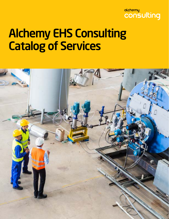# alchemy consulting

# Alchemy EHS Consulting Catalog of Services

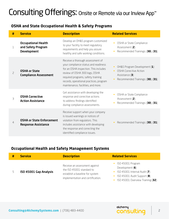# Consulting Offerings: Onsite or Remote via our Inview App**™**

#### **OSHA and State Occupational Health & Safety Programs**

| #              | <b>Service</b>                                                         | <b>Description</b>                                                                                                                                                                                                                                                        | <b>Related Services</b>                                                                                              |
|----------------|------------------------------------------------------------------------|---------------------------------------------------------------------------------------------------------------------------------------------------------------------------------------------------------------------------------------------------------------------------|----------------------------------------------------------------------------------------------------------------------|
| $\mathbf 1$    | <b>Occupational Health</b><br>and Safety Program<br><b>Development</b> | Develop an OH&S program customized<br>to your facility to meet regulatory<br>requirements and help you assure<br>healthy and safe working conditions.                                                                                                                     | OSHA or State Compliance<br>Assessment (2)<br>Recommended Trainings: (30), (31)                                      |
| $\overline{c}$ | <b>OSHA or State</b><br><b>Compliance Assessment</b>                   | Receive a thorough assessment of<br>your compliance status and readiness<br>for an OSHA inspection. This includes<br>review of OSHA 300 logs, OSHA<br>required programs, safety training<br>records, operational practices, program<br>maintenance, facilities, and more. | OH&S Program Development (1)<br><b>OSHA Corrective Action</b><br>Assistance (3)<br>Recommended Trainings: (30), (31) |
| 3              | <b>OSHA Corrective</b><br><b>Action Assistance</b>                     | Get assistance with developing the<br>response and corrective actions<br>to address findings identified<br>during compliance assessments.                                                                                                                                 | OSHA or State Compliance<br>Assessment (2)<br>Recommended Trainings: (30), (31)                                      |
| $\overline{4}$ | <b>OSHA or State Enforcement</b><br><b>Response Assistance</b>         | Receive support when your company<br>is issued warnings or notices of<br>violation from regulators. This<br>includes assistance with developing<br>the response and correcting the<br>identified compliance issues.                                                       | Recommended Trainings: (30), (31)                                                                                    |

#### **Occupational Health and Safety Management Systems**

| # | <b>Service</b>         | <b>Description</b>                                                                                                                 | <b>Related Services</b>                                                                                                                                           |
|---|------------------------|------------------------------------------------------------------------------------------------------------------------------------|-------------------------------------------------------------------------------------------------------------------------------------------------------------------|
|   | ISO 45001 Gap Analysis | Receive an assessment against<br>the ISO 45001 standard to<br>establish a baseline for system<br>implementation and certification. | • ISO 45001 Program<br>Development $(6)$<br>$\bullet$ ISO 45001 Internal Audit (7)<br>$\bullet$ ISO 45001 Audit Support (8)<br>• ISO 45001 Overview Training (32) |

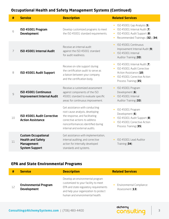#### **Occupational Health and Safety Management Systems (Continued)**

| #              | <b>Service</b>                                                                                       | <b>Description</b>                                                                                                                                                                                         | <b>Related Services</b>                                                                                                                                                            |
|----------------|------------------------------------------------------------------------------------------------------|------------------------------------------------------------------------------------------------------------------------------------------------------------------------------------------------------------|------------------------------------------------------------------------------------------------------------------------------------------------------------------------------------|
| 6              | ISO 45001 Program<br><b>Development</b>                                                              | Develop customized programs to meet<br>the ISO 45001 standard requirements.                                                                                                                                | ISO 45001 Gap Analysis (5)<br>$\bullet$<br>ISO 45001 Internal Audit (7)<br>$\bullet$<br>ISO 45001 Audit Support (8)<br>$\bullet$<br>Recommended Trainings: (32), (34)<br>$\bullet$ |
| $\overline{7}$ | <b>ISO 45001 Internal Audit</b>                                                                      | Receive an internal audit<br>against the ISO 45001 standard<br>for audit readiness.                                                                                                                        | ISO 45001 Continuous<br>$\bullet$<br>Improvement Internal Audit (9)<br>ISO 45001 Internal<br>$\bullet$<br>Auditor Training (33)                                                    |
| 8              | ISO 45001 Audit Support                                                                              | Receive on-site support during<br>the certification audit to serve as<br>a liaison between your company<br>and the certification body.                                                                     | ISO 45001 Internal Audit (7)<br>ISO 45001 Audit Corrective<br>$\bullet$<br>Action Assistance (10)<br>ISO 45001 Corrective Action<br>Process Training (35)                          |
| $\mathcal{G}$  | <b>ISO 45001 Continuous</b><br><b>Improvement Internal Audit</b>                                     | Receive a customized assessment<br>against components of the ISO<br>45001 standard to evaluate specific<br>areas for continuous improvement.                                                               | ISO 45001 Program<br>Development (6)<br>ISO 45001 Internal<br>$\bullet$<br>Auditor Training (33)                                                                                   |
| 10             | <b>ISO 45001 Audit Corrective</b><br><b>Action Assistance</b>                                        | Get assistance with conducting<br>root cause analysis, developing<br>the response, and facilitating<br>corrective actions to address<br>nonconformances identified during<br>internal and external audits. | ISO 45001 Program<br>Development (6)<br>ISO 45001 Audit Support (8)<br>ISO 45001 Corrective Action<br>$\bullet$<br>Process Training (35)                                           |
| 11             | <b>Custom Occupational</b><br><b>Health and Safety</b><br><b>Management</b><br><b>System Support</b> | Get assistance with implementation,<br>internal auditing, and corrective<br>action for internally developed<br>standards and systems.                                                                      | ISO 45001 Lead Auditor<br>Training (34)                                                                                                                                            |

#### **EPA and State Environmental Programs**

| #  | <b>Service</b>                                     | <b>Description</b>                                                                                                                                                                           | <b>Related Services</b>                     |
|----|----------------------------------------------------|----------------------------------------------------------------------------------------------------------------------------------------------------------------------------------------------|---------------------------------------------|
| 12 | <b>Environmental Program</b><br><b>Development</b> | Develop an environmental program<br>customized to your facility to meet<br>EPA and state regulatory requirements<br>and help your organization to protect<br>human and environmental health. | Environmental Compliance<br>Assessment (13) |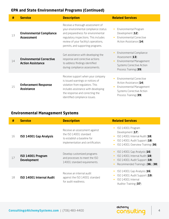#### **EPA and State Environmental Programs (Continued)**

| #  | <b>Service</b>                                              | <b>Description</b>                                                                                                                                                                                                                    | <b>Related Services</b>                                                                                                                            |
|----|-------------------------------------------------------------|---------------------------------------------------------------------------------------------------------------------------------------------------------------------------------------------------------------------------------------|----------------------------------------------------------------------------------------------------------------------------------------------------|
| 13 | <b>Environmental Compliance</b><br><b>Assessment</b>        | Receive a thorough assessment of<br>your environmental compliance status<br>and preparedness for environmental<br>regulatory inspections. This includes<br>review of your facility's operations,<br>permits, and supporting programs. | Environmental Program<br>Development (12)<br><b>Environmental Corrective</b><br>$\bullet$<br>Action Assistance (14)                                |
| 14 | <b>Environmental Corrective</b><br><b>Action Assistance</b> | Get assistance with developing the<br>response and corrective actions<br>to address findings identified<br>during compliance assessments.                                                                                             | Environmental Compliance<br>Assessment (13)<br><b>Environmental Management</b><br>Systems Corrective Action<br>Process Training (39)               |
| 15 | <b>Enforcement Response</b><br><b>Assistance</b>            | Receive support when your company<br>is issued warnings or notices of<br>violation from regulators. This<br>includes assistance with developing<br>the response and correcting the<br>identified compliance issues.                   | <b>Environmental Corrective</b><br>Action Assistance (14)<br><b>Environmental Management</b><br>Systems Corrective Action<br>Process Training (39) |

## **Environmental Management Systems**

| #  | <b>Service</b>                          | <b>Description</b>                                                                                                          | <b>Related Services</b>                                                                                                                      |
|----|-----------------------------------------|-----------------------------------------------------------------------------------------------------------------------------|----------------------------------------------------------------------------------------------------------------------------------------------|
| 16 | ISO 14001 Gap Analysis                  | Receive an assessment against<br>the ISO 14001 standard<br>to establish a baseline for<br>implementation and certification. | ISO 14001 Program<br>Development (17)<br>$ISO 14001$ Internal Audit (18)<br>ISO 14001 Audit Support (18)<br>ISO 14001 Overview Training (36) |
| 17 | ISO 14001 Program<br><b>Development</b> | Develop customized programs<br>and processes to meet the ISO<br>14001 standard requirements.                                | ISO 14001 Gap Analysis (16)<br>ISO 14001 Internal Audit (18)<br>ISO 14001 Audit Support (19)<br>Recommended Trainings: (36), (38)            |
| 18 | <b>ISO 14001 Internal Audit</b>         | Receive an internal audit<br>against the ISO 14001 standard<br>for audit readiness.                                         | ISO 14001 Gap Analysis $(16)$<br>ISO 14001 Audit Support (19)<br>ISO 14001 Internal<br>Auditor Training (37)                                 |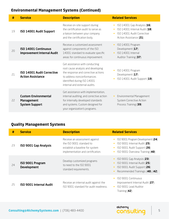### **Environmental Management Systems (Continued)**

| #  | <b>Service</b>                                                            | <b>Description</b>                                                                                                                                                                                        | <b>Related Services</b>                                                                                                |
|----|---------------------------------------------------------------------------|-----------------------------------------------------------------------------------------------------------------------------------------------------------------------------------------------------------|------------------------------------------------------------------------------------------------------------------------|
| 19 | ISO 14001 Audit Support                                                   | Receive on-site support during<br>the certification audit to serve as<br>a liaison between your company<br>and the certification body.                                                                    | ISO $14001$ Gap Analysis (16)<br>ISO 14001 Internal Audit (18)<br>ISO 14001 Audit Corrective<br>Action Assistance (21) |
| 20 | <b>ISO 14001 Continuous</b><br><b>Improvement Internal Audit</b>          | Receive a customized assessment<br>against components of the ISO<br>14001 standard to evaluate specific<br>areas for continuous improvement.                                                              | ISO 14001 Program<br>Development (17)<br>ISO 14001 Internal<br>Auditor Training (37)                                   |
| 21 | <b>ISO 14001 Audit Corrective</b><br><b>Action Assistance</b>             | Get assistance with conducting<br>root cause analysis and developing<br>the response and corrective actions<br>to address nonconformances<br>identified during ISO 14001<br>internal and external audits. | ISO 14001 Program<br>Development (17)<br>ISO 14001 Audit Support (19)                                                  |
| 22 | <b>Custom Environmental</b><br><b>Management</b><br><b>System Support</b> | Get assistance with implementation,<br>internal auditing, and corrective action<br>for internally developed standards<br>and systems. Custom designed for<br>your organization's programs.                | <b>Environmental Management</b><br>System Corrective Action<br>Process Training (39)                                   |

#### **Quality Management Systems**

| #  | <b>Service</b>                         | <b>Description</b>                                                                                                                | <b>Related Services</b>                                                                                                             |
|----|----------------------------------------|-----------------------------------------------------------------------------------------------------------------------------------|-------------------------------------------------------------------------------------------------------------------------------------|
| 23 | <b>ISO 9001 Gap Analysis</b>           | Receive an assessment against<br>the ISO 9001 standard to<br>establish a baseline for system<br>implementation and certification. | ISO 9001 Program Development (24)<br>ISO 9001 Internal Audit (25)<br>ISO 9001 Audit Support (26)<br>ISO 9001 Overview Training (40) |
| 24 | ISO 9001 Program<br><b>Development</b> | Develop customized programs<br>to need to the ISO 9001<br>standard requirements.                                                  | ISO 9001 Gap Analysis (23)<br>ISO 9001 Internal Audit (25)<br>ISO 9001 Audit Support (26)<br>Recommended Trainings: (40), (42)      |
| 25 | <b>ISO 9001 Internal Audit</b>         | Receive an internal audit against the<br>ISO 9001 standard for audit readiness.                                                   | ISO 9001 Continuous<br>Improvement Internal Audit (27)<br>ISO 9001 Lead Auditor<br>$\bullet$<br>Training (42)                       |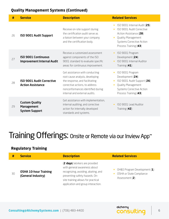#### **Quality Management Systems (Continued)**

| #  | <b>Service</b>                                                      | <b>Description</b>                                                                                                                                                                                          | <b>Related Services</b>                                                                                                                                                      |
|----|---------------------------------------------------------------------|-------------------------------------------------------------------------------------------------------------------------------------------------------------------------------------------------------------|------------------------------------------------------------------------------------------------------------------------------------------------------------------------------|
| 26 | <b>ISO 9001 Audit Support</b>                                       | Receive on-site support during<br>the certification audit serve as<br>a liaison between your company<br>and the certification body.                                                                         | ISO 9001 Internal Audit (25)<br>ISO 9001 Audit Corrective<br>Action Assistance (28)<br>Quality Management<br>$\bullet$<br>Systems Corrective Action<br>Process Training (43) |
| 27 | <b>ISO 9001 Continuous</b><br><b>Improvement Internal Audit</b>     | Receive a customized assessment<br>against components of the ISO<br>9001 standard to evaluate specific<br>areas for continuous improvement.                                                                 | ISO 9001 Program<br>$\bullet$<br>Development (24)<br>ISO 9001 Internal Auditor<br>$\bullet$<br>Training $(41)$                                                               |
| 28 | <b>ISO 9001 Audit Corrective</b><br><b>Action Assistance</b>        | Get assistance with conducting<br>root cause analysis, developing<br>the response, and facilitating<br>corrective actions, to address<br>nonconformances identified during<br>internal and external audits. | ISO 9001 Program<br>Development (24)<br>ISO 9001 Audit Support (26)<br>Quality Management<br>$\bullet$<br>Systems Corrective Action<br>Process Training (43)                 |
| 29 | <b>Custom Quality</b><br><b>Management</b><br><b>System Support</b> | Get assistance with implementation,<br>internal auditing, and corrective<br>action for internally developed<br>standards and systems.                                                                       | ISO 9001 Lead Auditor<br>$\bullet$<br>Training $(42)$                                                                                                                        |

# Training Offerings: Onsite or Remote via our Inview App**™**

#### **Regulatory Training**

| #  | <b>Service</b>                                     | <b>Description</b>                                                                                                                                                                                                 | <b>Related Services</b>                                                                 |
|----|----------------------------------------------------|--------------------------------------------------------------------------------------------------------------------------------------------------------------------------------------------------------------------|-----------------------------------------------------------------------------------------|
| 30 | <b>OSHA 10-hour Training</b><br>(General Industry) | (2 days) Workers are provided<br>with general awareness about<br>recognizing, avoiding, abating, and<br>preventing safety hazards. On-<br>site training allows for practical<br>application and group interaction. | OH&S Program Development (1)<br>$\bullet$<br>OSHA or State Compliance<br>Assessment (2) |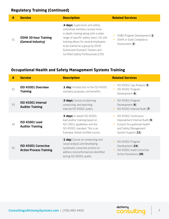### **Regulatory Training (Continued)**

| #  | <b>Service</b>                                     | <b>Description</b>                                                                                                                                                                                                                                                                                              | <b>Related Services</b>                                                    |
|----|----------------------------------------------------|-----------------------------------------------------------------------------------------------------------------------------------------------------------------------------------------------------------------------------------------------------------------------------------------------------------------|----------------------------------------------------------------------------|
| 31 | <b>OSHA 30-hour Training</b><br>(General Industry) | (4 days) Supervisors and safety<br>committee members receive more<br>in-depth training along with a wider<br>range of specific safety topics. On-site<br>training allows for several employees<br>to be trained as a group by OSHA<br>Authorized Outreach Trainers and<br>Certified Safety Professionals (CSP). | OH&S Program Development (1)<br>OSHA or State Compliance<br>Assessment (2) |

#### **Occupational Health and Safety Management Systems Training**

| #  | <b>Service</b>                                                | <b>Description</b>                                                                                                                                                       | <b>Related Services</b>                                                                                                              |
|----|---------------------------------------------------------------|--------------------------------------------------------------------------------------------------------------------------------------------------------------------------|--------------------------------------------------------------------------------------------------------------------------------------|
| 32 | ISO 45001 Overview<br><b>Training</b>                         | (1 day) Introduction to the ISO 45001<br>standard, purposes, and benefits.                                                                                               | ISO 45001 Gap Analysis $(5)$<br>ISO 45001 Program<br>Development (6)                                                                 |
| 33 | ISO 45001 Internal<br><b>Auditor Training</b>                 | (3 days) Course on planning,<br>conducting, and reporting<br>internal ISO 45001 audits.                                                                                  | ISO 45001 Program<br>Development $(6)$<br>ISO 45001 Internal Audit (7)                                                               |
| 34 | <b>ISO 45001 Lead</b><br><b>Auditor Training</b>              | (5 days) In-depth ISO 45001<br>lead auditor training based on<br>ISO 19011 guidelines and the<br>ISO 45001 standard. This is an<br>Exemplar Global certified course.     | ISO 45001 Continuous<br>Improvement Internal Audit (9)<br>Custom Occupational Health<br>and Safety Management<br>System Support (11) |
| 35 | <b>ISO 45001 Corrective</b><br><b>Action Process Training</b> | (1 day) Course on conducting root<br>cause analysis and developing<br>systematic corrective actions to<br>address nonconformances identified<br>during ISO 45001 audits. | ISO 45001 Program<br>Development (24)<br>ISO 45001 Audit Corrective<br>Action Assistance (28)                                        |